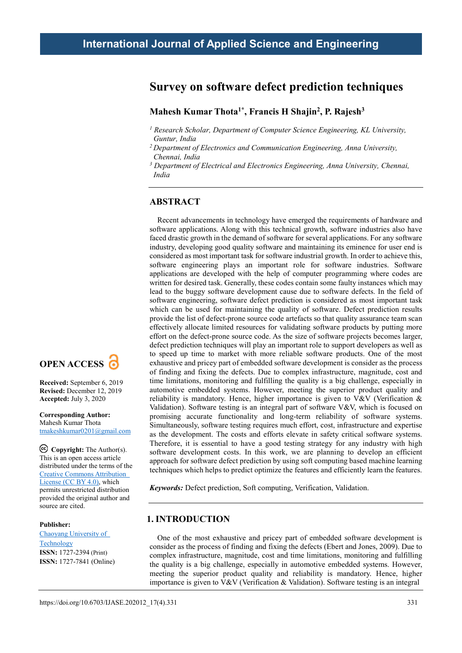# **Survey on software defect prediction techniques**

### **Mahesh Kumar Thota1\*, Francis H Shajin2, P. Rajesh3**

- *<sup>1</sup> Research Scholar, Department of Computer Science Engineering, KL University, Guntur, India*
- *2 Department of Electronics and Communication Engineering, Anna University, Chennai, India*
- *<sup>3</sup> Department of Electrical and Electronics Engineering, Anna University, Chennai, India*

### **ABSTRACT**

Recent advancements in technology have emerged the requirements of hardware and software applications. Along with this technical growth, software industries also have faced drastic growth in the demand of software for several applications. For any software industry, developing good quality software and maintaining its eminence for user end is considered as most important task for software industrial growth. In order to achieve this, software engineering plays an important role for software industries. Software applications are developed with the help of computer programming where codes are written for desired task. Generally, these codes contain some faulty instances which may lead to the buggy software development cause due to software defects. In the field of software engineering, software defect prediction is considered as most important task which can be used for maintaining the quality of software. Defect prediction results provide the list of defect-prone source code artefacts so that quality assurance team scan effectively allocate limited resources for validating software products by putting more effort on the defect-prone source code. As the size of software projects becomes larger, defect prediction techniques will play an important role to support developers as well as to speed up time to market with more reliable software products. One of the most exhaustive and pricey part of embedded software development is consider as the process of finding and fixing the defects. Due to complex infrastructure, magnitude, cost and time limitations, monitoring and fulfilling the quality is a big challenge, especially in automotive embedded systems. However, meeting the superior product quality and reliability is mandatory. Hence, higher importance is given to V&V (Verification & Validation). Software testing is an integral part of software V&V, which is focused on promising accurate functionality and long-term reliability of software systems. Simultaneously, software testing requires much effort, cost, infrastructure and expertise as the development. The costs and efforts elevate in safety critical software systems. Therefore, it is essential to have a good testing strategy for any industry with high software development costs. In this work, we are planning to develop an efficient approach for software defect prediction by using soft computing based machine learning techniques which helps to predict optimize the features and efficiently learn the features.

*Keywords:* Defect prediction, Soft computing, Verification, Validation.

#### **1. INTRODUCTION**

One of the most exhaustive and pricey part of embedded software development is consider as the process of finding and fixing the defects (Ebert and Jones, 2009). Due to complex infrastructure, magnitude, cost and time limitations, monitoring and fulfilling the quality is a big challenge, especially in automotive embedded systems. However, meeting the superior product quality and reliability is mandatory. Hence, higher importance is given to V&V (Verification & Validation). Software testing is an integral



**Received:** September 6, 2019 **Revised:** December 12, 2019 **Accepted:** July 3, 2020

**Corresponding Author:** Mahesh Kumar Thota [tmakeshkumar0201@gmail.com](mailto:tmakeshkumar0201@gmail.com)

**Copyright:** The Author(s). This is an open access article distributed under the terms of the [Creative Commons Attribution](https://creativecommons.org/licenses/by/4.0/deed.ast)  [License \(CC BY 4.0\),](https://creativecommons.org/licenses/by/4.0/deed.ast) which permits unrestricted distribution provided the original author and source are cited.

#### **Publisher:**

Chaoyang University of **[Technology](http://web.cyut.edu.tw/index.php?Lang=en) ISSN:** 1727-2394 (Print) **ISSN:** 1727-7841 (Online)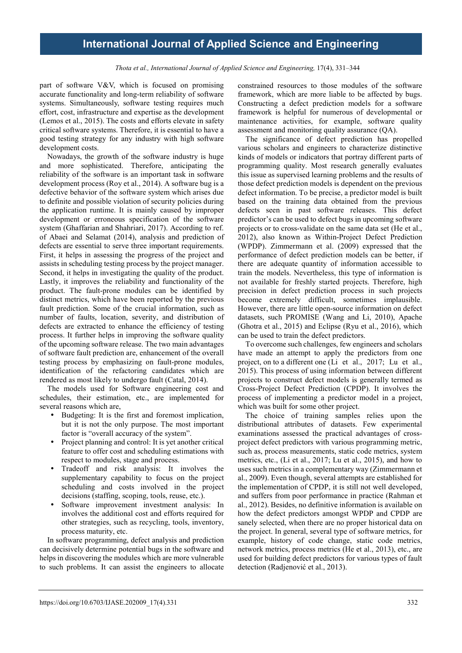*Thota et al., International Journal of Applied Science and Engineering,* 17(4), 331–344

part of software V&V, which is focused on promising accurate functionality and long-term reliability of software systems. Simultaneously, software testing requires much effort, cost, infrastructure and expertise as the development (Lemos et al., 2015). The costs and efforts elevate in safety critical software systems. Therefore, it is essential to have a good testing strategy for any industry with high software development costs.

Nowadays, the growth of the software industry is huge and more sophisticated. Therefore, anticipating the reliability of the software is an important task in software development process (Roy et al., 2014). A software bug is a defective behavior of the software system which arises due to definite and possible violation of security policies during the application runtime. It is mainly caused by improper development or erroneous specification of the software system (Ghaffarian and Shahriari, 2017). According to ref. of Abaei and Selamat (2014), analysis and prediction of defects are essential to serve three important requirements. First, it helps in assessing the progress of the project and assists in scheduling testing process by the project manager. Second, it helps in investigating the quality of the product. Lastly, it improves the reliability and functionality of the product. The fault-prone modules can be identified by distinct metrics, which have been reported by the previous fault prediction. Some of the crucial information, such as number of faults, location, severity, and distribution of defects are extracted to enhance the efficiency of testing process. It further helps in improving the software quality of the upcoming software release. The two main advantages of software fault prediction are, enhancement of the overall testing process by emphasizing on fault-prone modules, identification of the refactoring candidates which are rendered as most likely to undergo fault (Catal, 2014).

The models used for Software engineering cost and schedules, their estimation, etc., are implemented for several reasons which are,

- Budgeting: It is the first and foremost implication, but it is not the only purpose. The most important factor is "overall accuracy of the system".
- Project planning and control: It is yet another critical feature to offer cost and scheduling estimations with respect to modules, stage and process.
- Tradeoff and risk analysis: It involves the supplementary capability to focus on the project scheduling and costs involved in the project decisions (staffing, scoping, tools, reuse, etc.).
- Software improvement investment analysis: In involves the additional cost and efforts required for other strategies, such as recycling, tools, inventory, process maturity, etc.

In software programming, defect analysis and prediction can decisively determine potential bugs in the software and helps in discovering the modules which are more vulnerable to such problems. It can assist the engineers to allocate constrained resources to those modules of the software framework, which are more liable to be affected by bugs. Constructing a defect prediction models for a software framework is helpful for numerous of developmental or maintenance activities, for example, software quality assessment and monitoring quality assurance (QA).

The significance of defect prediction has propelled various scholars and engineers to characterize distinctive kinds of models or indicators that portray different parts of programming quality. Most research generally evaluates this issue as supervised learning problems and the results of those defect prediction models is dependent on the previous defect information. To be precise, a predictor model is built based on the training data obtained from the previous defects seen in past software releases. This defect predictor's can be used to defect bugs in upcoming software projects or to cross-validate on the same data set (He et al., 2012), also known as Within-Project Defect Prediction (WPDP). Zimmermann et al. (2009) expressed that the performance of defect prediction models can be better, if there are adequate quantity of information accessible to train the models. Nevertheless, this type of information is not available for freshly started projects. Therefore, high precision in defect prediction process in such projects become extremely difficult, sometimes implausible. However, there are little open-source information on defect datasets, such PROMISE (Wang and Li, 2010), Apache (Ghotra et al., 2015) and Eclipse (Ryu et al., 2016), which can be used to train the defect predictors.

To overcome such challenges, few engineers and scholars have made an attempt to apply the predictors from one project, on to a different one (Li et al., 2017; Lu et al., 2015). This process of using information between different projects to construct defect models is generally termed as Cross-Project Defect Prediction (CPDP). It involves the process of implementing a predictor model in a project, which was built for some other project.

The choice of training samples relies upon the distributional attributes of datasets. Few experimental examinations assessed the practical advantages of crossproject defect predictors with various programming metric, such as, process measurements, static code metrics, system metrics, etc., (Li et al., 2017; Lu et al., 2015), and how to uses such metrics in a complementary way (Zimmermann et al., 2009). Even though, several attempts are established for the implementation of CPDP, it is still not well developed, and suffers from poor performance in practice (Rahman et al., 2012). Besides, no definitive information is available on how the defect predictors amongst WPDP and CPDP are sanely selected, when there are no proper historical data on the project. In general, several type of software metrics, for example, history of code change, static code metrics, network metrics, process metrics (He et al., 2013), etc., are used for building defect predictors for various types of fault detection (Radjenović et al., 2013).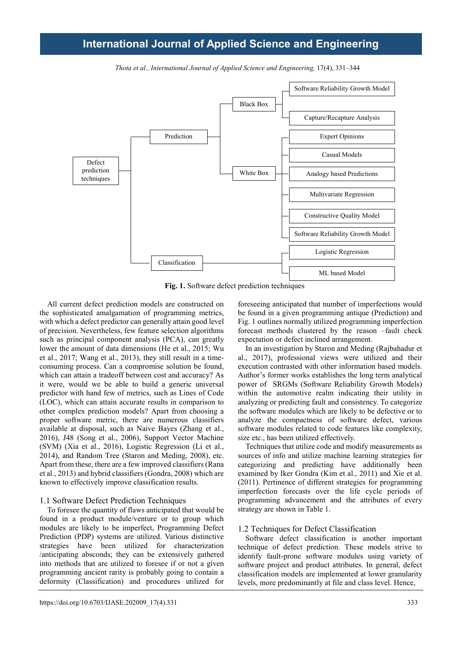

*Thota et al., International Journal of Applied Science and Engineering,* 17(4), 331–344

**Fig. 1.** Software defect prediction techniques

All current defect prediction models are constructed on the sophisticated amalgamation of programming metrics, with which a defect predictor can generally attain good level of precision. Nevertheless, few feature selection algorithms such as principal component analysis (PCA), can greatly lower the amount of data dimensions (He et al., 2015; Wu et al., 2017; Wang et al., 2013), they still result in a timeconsuming process. Can a compromise solution be found, which can attain a tradeoff between cost and accuracy? As it were, would we be able to build a generic universal predictor with hand few of metrics, such as Lines of Code (LOC), which can attain accurate results in comparison to other complex prediction models? Apart from choosing a proper software metric, there are numerous classifiers available at disposal, such as Naive Bayes (Zhang et al., 2016), J48 (Song et al., 2006), Support Vector Machine (SVM) (Xia et al., 2016), Logistic Regression (Li et al., 2014), and Random Tree (Staron and Meding, 2008), etc. Apart from these, there are a few improved classifiers (Rana et al., 2013) and hybrid classifiers (Gondra, 2008) which are known to effectively improve classification results.

#### 1.1 Software Defect Prediction Techniques

To foresee the quantity of flaws anticipated that would be found in a product module/venture or to group which modules are likely to be imperfect, Programming Defect Prediction (PDP) systems are utilized. Various distinctive strategies have been utilized for characterization /anticipating absconds; they can be extensively gathered into methods that are utilized to foresee if or not a given programming ancient rarity is probably going to contain a deformity (Classification) and procedures utilized for

foreseeing anticipated that number of imperfections would be found in a given programming antique (Prediction) and Fig. 1 outlines normally utilized programming imperfection forecast methods clustered by the reason –fault check expectation or defect inclined arrangement.

In an investigation by Staron and Meding (Rajbahadur et al., 2017), professional views were utilized and their execution contrasted with other information based models. Author's former works establishes the long term analytical power of SRGMs (Software Reliability Growth Models) within the automotive realm indicating their utility in analyzing or predicting fault and consistency. To categorize the software modules which are likely to be defective or to analyze the compactness of software defect, various software modules related to code features like complexity, size etc., has been utilized effectively.

Techniques that utilize code and modify measurements as sources of info and utilize machine learning strategies for categorizing and predicting have additionally been examined by Iker Gondra (Kim et al., 2011) and Xie et al. (2011). Pertinence of different strategies for programming imperfection forecasts over the life cycle periods of programming advancement and the attributes of every strategy are shown in Table 1.

#### 1.2 Techniques for Defect Classification

Software defect classification is another important technique of defect prediction. These models strive to identify fault-prone software modules using variety of software project and product attributes. In general, defect classification models are implemented at lower granularity levels, more predominantly at file and class level. Hence,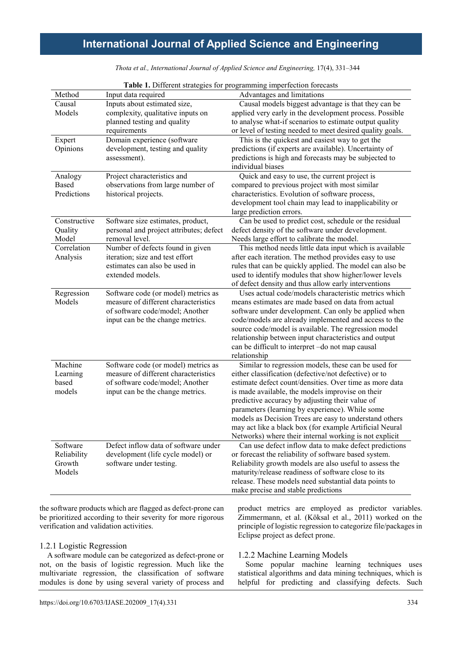| Table 1. Different strategies for programming imperfection forecasts |                                                    |                                                                                                      |  |  |  |  |
|----------------------------------------------------------------------|----------------------------------------------------|------------------------------------------------------------------------------------------------------|--|--|--|--|
| Method                                                               | Input data required                                | Advantages and limitations                                                                           |  |  |  |  |
| Causal                                                               | Inputs about estimated size,                       | Causal models biggest advantage is that they can be                                                  |  |  |  |  |
| Models                                                               | complexity, qualitative inputs on                  | applied very early in the development process. Possible                                              |  |  |  |  |
|                                                                      | planned testing and quality                        | to analyse what-if scenarios to estimate output quality                                              |  |  |  |  |
|                                                                      | requirements                                       | or level of testing needed to meet desired quality goals.                                            |  |  |  |  |
| Expert                                                               | Domain experience (software                        | This is the quickest and easiest way to get the                                                      |  |  |  |  |
| Opinions                                                             | development, testing and quality                   | predictions (if experts are available). Uncertainty of                                               |  |  |  |  |
|                                                                      | assessment).                                       | predictions is high and forecasts may be subjected to                                                |  |  |  |  |
|                                                                      |                                                    | individual biases                                                                                    |  |  |  |  |
| Analogy                                                              | Project characteristics and                        | Quick and easy to use, the current project is                                                        |  |  |  |  |
| <b>Based</b>                                                         | observations from large number of                  | compared to previous project with most similar                                                       |  |  |  |  |
| Predictions                                                          | historical projects.                               | characteristics. Evolution of software process,                                                      |  |  |  |  |
|                                                                      |                                                    | development tool chain may lead to inapplicability or                                                |  |  |  |  |
|                                                                      |                                                    | large prediction errors.                                                                             |  |  |  |  |
| Constructive                                                         | Software size estimates, product,                  | Can be used to predict cost, schedule or the residual                                                |  |  |  |  |
| Quality                                                              | personal and project attributes; defect            | defect density of the software under development.                                                    |  |  |  |  |
| Model<br>Correlation                                                 | removal level.<br>Number of defects found in given | Needs large effort to calibrate the model.<br>This method needs little data input which is available |  |  |  |  |
| Analysis                                                             | iteration; size and test effort                    | after each iteration. The method provides easy to use                                                |  |  |  |  |
|                                                                      | estimates can also be used in                      | rules that can be quickly applied. The model can also be                                             |  |  |  |  |
|                                                                      | extended models.                                   | used to identify modules that show higher/lower levels                                               |  |  |  |  |
|                                                                      |                                                    | of defect density and thus allow early interventions                                                 |  |  |  |  |
| Regression                                                           | Software code (or model) metrics as                | Uses actual code/models characteristic metrics which                                                 |  |  |  |  |
| Models                                                               | measure of different characteristics               | means estimates are made based on data from actual                                                   |  |  |  |  |
|                                                                      | of software code/model; Another                    | software under development. Can only be applied when                                                 |  |  |  |  |
|                                                                      | input can be the change metrics.                   | code/models are already implemented and access to the                                                |  |  |  |  |
|                                                                      |                                                    | source code/model is available. The regression model                                                 |  |  |  |  |
|                                                                      |                                                    | relationship between input characteristics and output                                                |  |  |  |  |
|                                                                      |                                                    | can be difficult to interpret -do not map causal                                                     |  |  |  |  |
|                                                                      |                                                    | relationship                                                                                         |  |  |  |  |
| Machine                                                              | Software code (or model) metrics as                | Similar to regression models, these can be used for                                                  |  |  |  |  |
| Learning                                                             | measure of different characteristics               | either classification (defective/not defective) or to                                                |  |  |  |  |
| based                                                                | of software code/model; Another                    | estimate defect count/densities. Over time as more data                                              |  |  |  |  |
| models                                                               | input can be the change metrics.                   | is made available, the models improvise on their                                                     |  |  |  |  |
|                                                                      |                                                    | predictive accuracy by adjusting their value of                                                      |  |  |  |  |
|                                                                      |                                                    | parameters (learning by experience). While some                                                      |  |  |  |  |
|                                                                      |                                                    | models as Decision Trees are easy to understand others                                               |  |  |  |  |
|                                                                      |                                                    | may act like a black box (for example Artificial Neural                                              |  |  |  |  |
|                                                                      |                                                    | Networks) where their internal working is not explicit                                               |  |  |  |  |
| Software                                                             | Defect inflow data of software under               | Can use defect inflow data to make defect predictions                                                |  |  |  |  |
| Reliability                                                          | development (life cycle model) or                  | or forecast the reliability of software based system.                                                |  |  |  |  |
| Growth                                                               | software under testing.                            | Reliability growth models are also useful to assess the                                              |  |  |  |  |
| Models                                                               |                                                    | maturity/release readiness of software close to its                                                  |  |  |  |  |
|                                                                      |                                                    |                                                                                                      |  |  |  |  |
|                                                                      |                                                    | release. These models need substantial data points to<br>make precise and stable predictions         |  |  |  |  |

*Thota et al., International Journal of Applied Science and Engineering,* 17(4), 331–344

the software products which are flagged as defect-prone can be prioritized according to their severity for more rigorous verification and validation activities.

#### 1.2.1 Logistic Regression

A software module can be categorized as defect-prone or not, on the basis of logistic regression. Much like the multivariate regression, the classification of software modules is done by using several variety of process and product metrics are employed as predictor variables. Zimmermann, et al. (Köksal et al., 2011) worked on the principle of logistic regression to categorize file/packages in Eclipse project as defect prone.

#### 1.2.2 Machine Learning Models

Some popular machine learning techniques uses statistical algorithms and data mining techniques, which is helpful for predicting and classifying defects. Such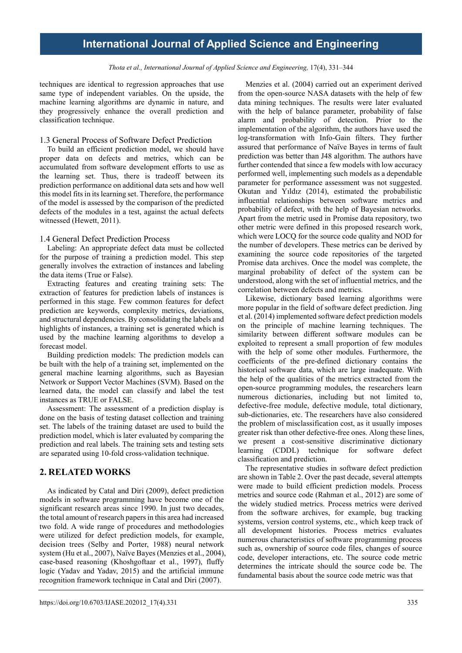*Thota et al., International Journal of Applied Science and Engineering,* 17(4), 331–344

techniques are identical to regression approaches that use same type of independent variables. On the upside, the machine learning algorithms are dynamic in nature, and they progressively enhance the overall prediction and classification technique.

#### 1.3 General Process of Software Defect Prediction

To build an efficient prediction model, we should have proper data on defects and metrics, which can be accumulated from software development efforts to use as the learning set. Thus, there is tradeoff between its prediction performance on additional data sets and how well this model fits in its learning set. Therefore, the performance of the model is assessed by the comparison of the predicted defects of the modules in a test, against the actual defects witnessed (Hewett, 2011).

#### 1.4 General Defect Prediction Process

Labeling: An appropriate defect data must be collected for the purpose of training a prediction model. This step generally involves the extraction of instances and labeling the data items (True or False).

Extracting features and creating training sets: The extraction of features for prediction labels of instances is performed in this stage. Few common features for defect prediction are keywords, complexity metrics, deviations, and structural dependencies. By consolidating the labels and highlights of instances, a training set is generated which is used by the machine learning algorithms to develop a forecast model.

Building prediction models: The prediction models can be built with the help of a training set, implemented on the general machine learning algorithms, such as Bayesian Network or Support Vector Machines (SVM). Based on the learned data, the model can classify and label the test instances as TRUE or FALSE.

Assessment: The assessment of a prediction display is done on the basis of testing dataset collection and training set. The labels of the training dataset are used to build the prediction model, which is later evaluated by comparing the prediction and real labels. The training sets and testing sets are separated using 10-fold cross-validation technique.

### **2. RELATED WORKS**

As indicated by Catal and Diri (2009), defect prediction models in software programming have become one of the significant research areas since 1990. In just two decades, the total amount of research papers in this area had increased two fold. A wide range of procedures and methodologies were utilized for defect prediction models, for example, decision trees (Selby and Porter, 1988) neural network system (Hu et al., 2007), Naïve Bayes (Menzies et al., 2004), case-based reasoning (Khoshgoftaar et al., 1997), fluffy logic (Yadav and Yadav, 2015) and the artificial immune recognition framework technique in Catal and Diri (2007).

Menzies et al. (2004) carried out an experiment derived from the open-source NASA datasets with the help of few data mining techniques. The results were later evaluated with the help of balance parameter, probability of false alarm and probability of detection. Prior to the implementation of the algorithm, the authors have used the log-transformation with Info-Gain filters. They further assured that performance of Naïve Bayes in terms of fault prediction was better than J48 algorithm. The authors have further contended that since a few models with low accuracy performed well, implementing such models as a dependable parameter for performance assessment was not suggested. Okutan and Yıldız (2014), estimated the probabilistic influential relationships between software metrics and probability of defect, with the help of Bayesian networks. Apart from the metric used in Promise data repository, two other metric were defined in this proposed research work, which were LOCQ for the source code quality and NOD for the number of developers. These metrics can be derived by examining the source code repositories of the targeted Promise data archives. Once the model was complete, the marginal probability of defect of the system can be understood, along with the set of influential metrics, and the correlation between defects and metrics.

Likewise, dictionary based learning algorithms were more popular in the field of software defect prediction. Jing et al. (2014) implemented software defect prediction models on the principle of machine learning techniques. The similarity between different software modules can be exploited to represent a small proportion of few modules with the help of some other modules. Furthermore, the coefficients of the pre-defined dictionary contains the historical software data, which are large inadequate. With the help of the qualities of the metrics extracted from the open-source programming modules, the researchers learn numerous dictionaries, including but not limited to, defective-free module, defective module, total dictionary, sub-dictionaries, etc. The researchers have also considered the problem of misclassification cost, as it usually imposes greater risk than other defective-free ones. Along these lines, we present a cost-sensitive discriminative dictionary learning (CDDL) technique for software defect classification and prediction.

The representative studies in software defect prediction are shown in Table 2. Over the past decade, several attempts were made to build efficient prediction models. Process metrics and source code (Rahman et al., 2012) are some of the widely studied metrics. Process metrics were derived from the software archives, for example, bug tracking systems, version control systems, etc., which keep track of all development histories. Process metrics evaluates numerous characteristics of software programming process such as, ownership of source code files, changes of source code, developer interactions, etc. The source code metric determines the intricate should the source code be. The fundamental basis about the source code metric was that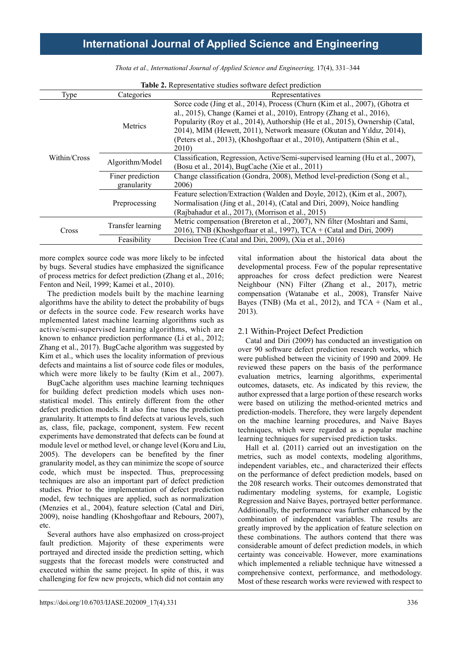| <b>Table 2.</b> Representative studies software defect prediction |                   |                                                                                |  |  |  |
|-------------------------------------------------------------------|-------------------|--------------------------------------------------------------------------------|--|--|--|
| Type                                                              | Categories        | Representatives                                                                |  |  |  |
|                                                                   | Metrics           | Sorce code (Jing et al., 2014), Process (Churn (Kim et al., 2007), (Ghotra et  |  |  |  |
|                                                                   |                   | al., 2015), Change (Kamei et al., 2010), Entropy (Zhang et al., 2016),         |  |  |  |
|                                                                   |                   | Popularity (Roy et al., 2014), Authorship (He et al., 2015), Ownership (Catal, |  |  |  |
|                                                                   |                   | 2014), MIM (Hewett, 2011), Network measure (Okutan and Yıldız, 2014),          |  |  |  |
|                                                                   |                   | (Peters et al., 2013), (Khoshgoftaar et al., 2010), Antipattern (Shin et al.,  |  |  |  |
|                                                                   |                   | 2010)                                                                          |  |  |  |
| Within/Cross                                                      | Algorithm/Model   | Classification, Regression, Active/Semi-supervised learning (Hu et al., 2007), |  |  |  |
|                                                                   |                   | (Bosu et al., 2014), BugCache (Xie et al., 2011)                               |  |  |  |
|                                                                   | Finer prediction  | Change classification (Gondra, 2008), Method level-prediction (Song et al.,    |  |  |  |
|                                                                   | granularity       | 2006)                                                                          |  |  |  |
|                                                                   | Preprocessing     | Feature selection/Extraction (Walden and Doyle, 2012), (Kim et al., 2007),     |  |  |  |
|                                                                   |                   | Normalisation (Jing et al., 2014), (Catal and Diri, 2009), Noice handling      |  |  |  |
|                                                                   |                   | (Rajbahadur et al., 2017), (Morrison et al., 2015)                             |  |  |  |
| Cross                                                             | Transfer learning | Metric compensation (Brereton et al., 2007), NN filter (Moshtari and Sami,     |  |  |  |
|                                                                   |                   | 2016), TNB (Khoshgoftaar et al., 1997), TCA + (Catal and Diri, 2009)           |  |  |  |
|                                                                   | Feasibility       | Decision Tree (Catal and Diri, 2009), (Xia et al., 2016)                       |  |  |  |

*Thota et al., International Journal of Applied Science and Engineering,* 17(4), 331–344

more complex source code was more likely to be infected by bugs. Several studies have emphasized the significance of process metrics for defect prediction (Zhang et al., 2016; Fenton and Neil, 1999; Kamei et al., 2010).

The prediction models built by the machine learning algorithms have the ability to detect the probability of bugs or defects in the source code. Few research works have mplemented latest machine learning algorithms such as active/semi-supervised learning algorithms, which are known to enhance prediction performance (Li et al., 2012; Zhang et al., 2017). BugCache algorithm was suggested by Kim et al., which uses the locality information of previous defects and maintains a list of source code files or modules, which were more likely to be faulty (Kim et al., 2007).

BugCache algorithm uses machine learning techniques for building defect prediction models which uses nonstatistical model. This entirely different from the other defect prediction models. It also fine tunes the prediction granularity. It attempts to find defects at various levels, such as, class, file, package, component, system. Few recent experiments have demonstrated that defects can be found at module level or method level, or change level (Koru and Liu, 2005). The developers can be benefited by the finer granularity model, as they can minimize the scope of source code, which must be inspected. Thus, preprocessing techniques are also an important part of defect prediction studies. Prior to the implementation of defect prediction model, few techniques are applied, such as normalization (Menzies et al., 2004), feature selection (Catal and Diri, 2009), noise handling (Khoshgoftaar and Rebours, 2007), etc.

Several authors have also emphasized on cross-project fault prediction. Majority of these experiments were portrayed and directed inside the prediction setting, which suggests that the forecast models were constructed and executed within the same project. In spite of this, it was challenging for few new projects, which did not contain any

vital information about the historical data about the developmental process. Few of the popular representative approaches for cross defect prediction were Nearest Neighbour (NN) Filter (Zhang et al., 2017), metric compensation (Watanabe et al., 2008), Transfer Naive Bayes (TNB) (Ma et al., 2012), and  $TCA + (Nam et al.,$ 2013).

#### 2.1 Within-Project Defect Prediction

Catal and Diri (2009) has conducted an investigation on over 90 software defect prediction research works, which were published between the vicinity of 1990 and 2009. He reviewed these papers on the basis of the performance evaluation metrics, learning algorithms, experimental outcomes, datasets, etc. As indicated by this review, the author expressed that a large portion of these research works were based on utilizing the method-oriented metrics and prediction-models. Therefore, they were largely dependent on the machine learning procedures, and Naive Bayes techniques, which were regarded as a popular machine learning techniques for supervised prediction tasks.

Hall et al. (2011) carried out an investigation on the metrics, such as model contexts, modeling algorithms, independent variables, etc., and characterized their effects on the performance of defect prediction models, based on the 208 research works. Their outcomes demonstrated that rudimentary modeling systems, for example, Logistic Regression and Naive Bayes, portrayed better performance. Additionally, the performance was further enhanced by the combination of independent variables. The results are greatly improved by the application of feature selection on these combinations. The authors contend that there was considerable amount of defect prediction models, in which certainty was conceivable. However, more examinations which implemented a reliable technique have witnessed a comprehensive context, performance, and methodology. Most of these research works were reviewed with respect to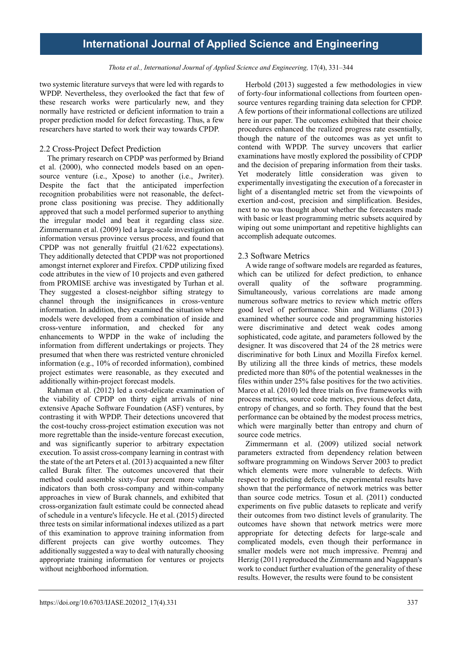*Thota et al., International Journal of Applied Science and Engineering,* 17(4), 331–344

two systemic literature surveys that were led with regards to WPDP. Nevertheless, they overlooked the fact that few of these research works were particularly new, and they normally have restricted or deficient information to train a proper prediction model for defect forecasting. Thus, a few researchers have started to work their way towards CPDP.

### 2.2 Cross-Project Defect Prediction

The primary research on CPDP was performed by Briand et al. (2000), who connected models based on an opensource venture (*i.e.*, Xpose) to another (*i.e.*, Jwriter). Despite the fact that the anticipated imperfection recognition probabilities were not reasonable, the defectprone class positioning was precise. They additionally approved that such a model performed superior to anything the irregular model and beat it regarding class size. Zimmermann et al. (2009) led a large-scale investigation on information versus province versus process, and found that CPDP was not generally fruitful (21/622 expectations). They additionally detected that CPDP was not proportioned amongst internet explorer and Firefox. CPDP utilizing fixed code attributes in the view of 10 projects and even gathered from PROMISE archive was investigated by Turhan et al. They suggested a closest-neighbor sifting strategy to channel through the insignificances in cross-venture information. In addition, they examined the situation where models were developed from a combination of inside and cross-venture information, and checked for any enhancements to WPDP in the wake of including the information from different undertakings or projects. They presumed that when there was restricted venture chronicled information (e.g., 10% of recorded information), combined project estimates were reasonable, as they executed and additionally within-project forecast models.

Rahman et al. (2012) led a cost-delicate examination of the viability of CPDP on thirty eight arrivals of nine extensive Apache Software Foundation (ASF) ventures, by contrasting it with WPDP. Their detections uncovered that the cost-touchy cross-project estimation execution was not more regrettable than the inside-venture forecast execution, and was significantly superior to arbitrary expectation execution. To assist cross-company learning in contrast with the state of the art Peters et al. (2013) acquainted a new filter called Burak filter. The outcomes uncovered that their method could assemble sixty-four percent more valuable indicators than both cross-company and within-company approaches in view of Burak channels, and exhibited that cross-organization fault estimate could be connected ahead of schedule in a venture's lifecycle. He et al. (2015) directed three tests on similar informational indexes utilized as a part of this examination to approve training information from different projects can give worthy outcomes. They additionally suggested a way to deal with naturally choosing appropriate training information for ventures or projects without neighborhood information.

Herbold (2013) suggested a few methodologies in view of forty-four informational collections from fourteen opensource ventures regarding training data selection for CPDP. A few portions of their informational collections are utilized here in our paper. The outcomes exhibited that their choice procedures enhanced the realized progress rate essentially, though the nature of the outcomes was as yet unfit to contend with WPDP. The survey uncovers that earlier examinations have mostly explored the possibility of CPDP and the decision of preparing information from their tasks. Yet moderately little consideration was given to experimentally investigating the execution of a forecaster in light of a disentangled metric set from the viewpoints of exertion and-cost, precision and simplification. Besides, next to no was thought about whether the forecasters made with basic or least programming metric subsets acquired by wiping out some unimportant and repetitive highlights can accomplish adequate outcomes.

#### 2.3 Software Metrics

A wide range of software models are regarded as features, which can be utilized for defect prediction, to enhance overall quality of the software programming. Simultaneously, various correlations are made among numerous software metrics to review which metric offers good level of performance. Shin and Williams (2013) examined whether source code and programming histories were discriminative and detect weak codes among sophisticated, code agitate, and parameters followed by the designer. It was discovered that 24 of the 28 metrics were discriminative for both Linux and Mozilla Firefox kernel. By utilizing all the three kinds of metrics, these models predicted more than 80% of the potential weaknesses in the files within under 25% false positives for the two activities. Marco et al. (2010) led three trials on five frameworks with process metrics, source code metrics, previous defect data, entropy of changes, and so forth. They found that the best performance can be obtained by the modest process metrics, which were marginally better than entropy and churn of source code metrics.

Zimmermann et al. (2009) utilized social network parameters extracted from dependency relation between software programming on Windows Server 2003 to predict which elements were more vulnerable to defects. With respect to predicting defects, the experimental results have shown that the performance of network metrics was better than source code metrics. Tosun et al. (2011) conducted experiments on five public datasets to replicate and verify their outcomes from two distinct levels of granularity. The outcomes have shown that network metrics were more appropriate for detecting defects for large-scale and complicated models, even though their performance in smaller models were not much impressive. Premraj and Herzig (2011) reproduced the Zimmermann and Nagappan's work to conduct further evaluation of the generality of these results. However, the results were found to be consistent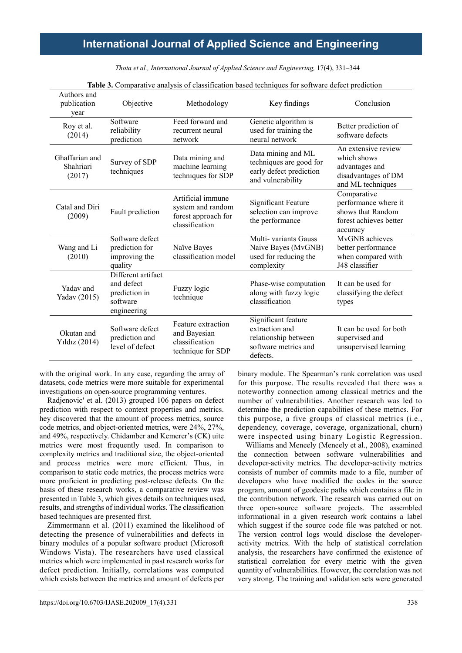| Authors and<br>publication<br>year    | Objective                                                                    | Methodology                                                                     | Key findings                                                                                      | Conclusion                                                                                       |
|---------------------------------------|------------------------------------------------------------------------------|---------------------------------------------------------------------------------|---------------------------------------------------------------------------------------------------|--------------------------------------------------------------------------------------------------|
| Roy et al.<br>(2014)                  | Software<br>reliability<br>prediction                                        | Feed forward and<br>recurrent neural<br>network                                 | Genetic algorithm is<br>used for training the<br>neural network                                   | Better prediction of<br>software defects                                                         |
| Ghaffarian and<br>Shahriari<br>(2017) | Survey of SDP<br>techniques                                                  | Data mining and<br>machine learning<br>techniques for SDP                       | Data mining and ML<br>techniques are good for<br>early defect prediction<br>and vulnerability     | An extensive review<br>which shows<br>advantages and<br>disadvantages of DM<br>and ML techniques |
| Catal and Diri<br>(2009)              | Fault prediction                                                             | Artificial immune<br>system and random<br>forest approach for<br>classification | Significant Feature<br>selection can improve<br>the performance                                   | Comparative<br>performance where it<br>shows that Random<br>forest achieves better<br>accuracy   |
| Wang and Li<br>(2010)                 | Software defect<br>prediction for<br>improving the<br>quality                | Naïve Bayes<br>classification model                                             | Multi- variants Gauss<br>Naive Bayes (MvGNB)<br>used for reducing the<br>complexity               | MvGNB achieves<br>better performance<br>when compared with<br>J48 classifier                     |
| Yadav and<br>Yadav (2015)             | Different artifact<br>and defect<br>prediction in<br>software<br>engineering | Fuzzy logic<br>technique                                                        | Phase-wise computation<br>along with fuzzy logic<br>classification                                | It can be used for<br>classifying the defect<br>types                                            |
| Okutan and<br>Yıldız (2014)           | Software defect<br>prediction and<br>level of defect                         | Feature extraction<br>and Bayesian<br>classification<br>technique for SDP       | Significant feature<br>extraction and<br>relationship between<br>software metrics and<br>defects. | It can be used for both<br>supervised and<br>unsupervised learning                               |

*Thota et al., International Journal of Applied Science and Engineering,* 17(4), 331–344

**Table 3.** Comparative analysis of classification based techniques for software defect prediction

with the original work. In any case, regarding the array of datasets, code metrics were more suitable for experimental investigations on open-source programming ventures.

Radjenovic' et al. (2013) grouped 106 papers on defect prediction with respect to context properties and metrics. hey discovered that the amount of process metrics, source code metrics, and object-oriented metrics, were 24%, 27%, and 49%, respectively. Chidamber and Kemerer's (CK) uite metrics were most frequently used. In comparison to complexity metrics and traditional size, the object-oriented and process metrics were more efficient. Thus, in comparison to static code metrics, the process metrics were more proficient in predicting post-release defects. On the basis of these research works, a comparative review was presented in Table 3, which gives details on techniques used, results, and strengths of individual works. The classification based techniques are presented first.

Zimmermann et al. (2011) examined the likelihood of detecting the presence of vulnerabilities and defects in binary modules of a popular software product (Microsoft Windows Vista). The researchers have used classical metrics which were implemented in past research works for defect prediction. Initially, correlations was computed which exists between the metrics and amount of defects per

binary module. The Spearman's rank correlation was used for this purpose. The results revealed that there was a noteworthy connection among classical metrics and the number of vulnerabilities. Another research was led to determine the prediction capabilities of these metrics. For this purpose, a five groups of classical metrics (i.e., dependency, coverage, coverage, organizational, churn) were inspected using binary Logistic Regression.

Williams and Meneely (Meneely et al., 2008), examined the connection between software vulnerabilities and developer-activity metrics. The developer-activity metrics consists of number of commits made to a file, number of developers who have modified the codes in the source program, amount of geodesic paths which contains a file in the contribution network. The research was carried out on three open-source software projects. The assembled informational in a given research work contains a label which suggest if the source code file was patched or not. The version control logs would disclose the developeractivity metrics. With the help of statistical correlation analysis, the researchers have confirmed the existence of statistical correlation for every metric with the given quantity of vulnerabilities. However, the correlation was not very strong. The training and validation sets were generated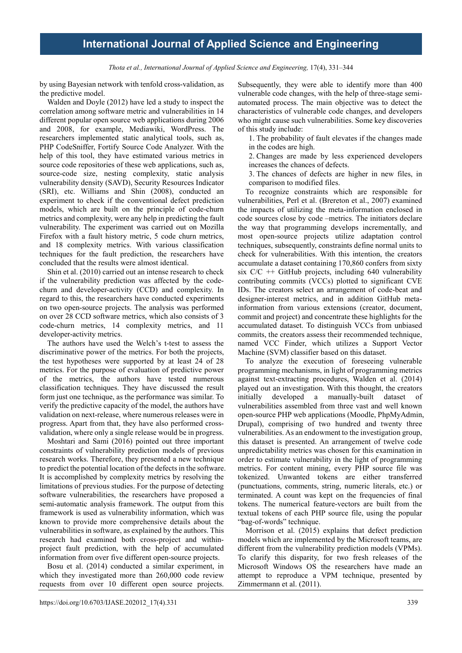*Thota et al., International Journal of Applied Science and Engineering,* 17(4), 331–344

by using Bayesian network with tenfold cross-validation, as the predictive model.

Walden and Doyle (2012) have led a study to inspect the correlation among software metric and vulnerabilities in 14 different popular open source web applications during 2006 and 2008, for example, Mediawiki, WordPress. The researchers implemented static analytical tools, such as, PHP CodeSniffer, Fortify Source Code Analyzer. With the help of this tool, they have estimated various metrics in source code repositories of these web applications, such as, source-code size, nesting complexity, static analysis vulnerability density (SAVD), Security Resources Indicator (SRI), etc. Williams and Shin (2008), conducted an experiment to check if the conventional defect prediction models, which are built on the principle of code-churn metrics and complexity, were any help in predicting the fault vulnerability. The experiment was carried out on Mozilla Firefox with a fault history metric, 5 code churn metrics, and 18 complexity metrics. With various classification techniques for the fault prediction, the researchers have concluded that the results were almost identical.

Shin et al. (2010) carried out an intense research to check if the vulnerability prediction was affected by the codechurn and developer-activity (CCD) and complexity. In regard to this, the researchers have conducted experiments on two open-source projects. The analysis was performed on over 28 CCD software metrics, which also consists of 3 code-churn metrics, 14 complexity metrics, and 11 developer-activity metrics.

The authors have used the Welch's t-test to assess the discriminative power of the metrics. For both the projects, the test hypotheses were supported by at least 24 of 28 metrics. For the purpose of evaluation of predictive power of the metrics, the authors have tested numerous classification techniques. They have discussed the result form just one technique, as the performance was similar. To verify the predictive capacity of the model, the authors have validation on next-release, where numerous releases were in progress. Apart from that, they have also performed crossvalidation, where only a single release would be in progress.

Moshtari and Sami (2016) pointed out three important constraints of vulnerability prediction models of previous research works. Therefore, they presented a new technique to predict the potential location of the defects in the software. It is accomplished by complexity metrics by resolving the limitations of previous studies. For the purpose of detecting software vulnerabilities, the researchers have proposed a semi-automatic analysis framework. The output from this framework is used as vulnerability information, which was known to provide more comprehensive details about the vulnerabilities in software, as explained by the authors. This research had examined both cross-project and withinproject fault prediction, with the help of accumulated information from over five different open-source projects.

Bosu et al. (2014) conducted a similar experiment, in which they investigated more than 260,000 code review requests from over 10 different open source projects.

Subsequently, they were able to identify more than 400 vulnerable code changes, with the help of three-stage semiautomated process. The main objective was to detect the characteristics of vulnerable code changes, and developers who might cause such vulnerabilities. Some key discoveries of this study include:

1. The probability of fault elevates if the changes made in the codes are high.

2. Changes are made by less experienced developers increases the chances of defects.

3. The chances of defects are higher in new files, in comparison to modified files.

To recognize constraints which are responsible for vulnerabilities, Perl et al. (Brereton et al., 2007) examined the impacts of utilizing the meta-information enclosed in code sources close by code –metrics. The initiators declare the way that programming develops incrementally, and most open-source projects utilize adaptation control techniques, subsequently, constraints define normal units to check for vulnerabilities. With this intention, the creators accumulate a dataset containing 170,860 confers from sixty six  $C/C + f$  GitHub projects, including 640 vulnerability contributing commits (VCCs) plotted to significant CVE IDs. The creators select an arrangement of code-beat and designer-interest metrics, and in addition GitHub metainformation from various extensions (creator, document, commit and project) and concentrate these highlights for the accumulated dataset. To distinguish VCCs from unbiased commits, the creators assess their recommended technique, named VCC Finder, which utilizes a Support Vector Machine (SVM) classifier based on this dataset.

To analyze the execution of foreseeing vulnerable programming mechanisms, in light of programming metrics against text-extracting procedures, Walden et al. (2014) played out an investigation. With this thought, the creators initially developed a manually-built dataset of vulnerabilities assembled from three vast and well known open-source PHP web applications (Moodle, PhpMyAdmin, Drupal), comprising of two hundred and twenty three vulnerabilities. As an endowment to the investigation group, this dataset is presented. An arrangement of twelve code unpredictability metrics was chosen for this examination in order to estimate vulnerability in the light of programming metrics. For content mining, every PHP source file was tokenized. Unwanted tokens are either transferred (punctuations, comments, string, numeric literals, etc.) or terminated. A count was kept on the frequencies of final tokens. The numerical feature-vectors are built from the textual tokens of each PHP source file, using the popular "bag-of-words" technique.

Morrison et al. (2015) explains that defect prediction models which are implemented by the Microsoft teams, are different from the vulnerability prediction models (VPMs). To clarify this disparity, for two fresh releases of the Microsoft Windows OS the researchers have made an attempt to reproduce a VPM technique, presented by Zimmermann et al. (2011).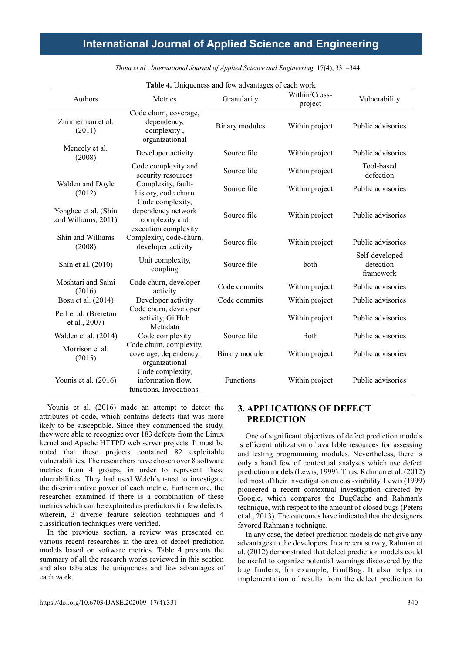| <b>Table 4.</b> Uniqueness and few advantages of each work |                                                                                  |                       |                          |                                          |  |  |  |
|------------------------------------------------------------|----------------------------------------------------------------------------------|-----------------------|--------------------------|------------------------------------------|--|--|--|
| Authors                                                    | Metrics                                                                          | Granularity           | Within/Cross-<br>project | Vulnerability                            |  |  |  |
| Zimmerman et al.<br>(2011)                                 | Code churn, coverage,<br>dependency,<br>complexity,<br>organizational            | <b>Binary</b> modules | Within project           | Public advisories                        |  |  |  |
| Meneely et al.<br>(2008)                                   | Developer activity                                                               | Source file           | Within project           | Public advisories                        |  |  |  |
|                                                            | Code complexity and<br>security resources                                        | Source file           | Within project           | Tool-based<br>defection                  |  |  |  |
| Walden and Doyle<br>(2012)                                 | Complexity, fault-<br>history, code churn                                        | Source file           | Within project           | Public advisories                        |  |  |  |
| Yonghee et al. (Shin<br>and Williams, 2011)                | Code complexity,<br>dependency network<br>complexity and<br>execution complexity | Source file           | Within project           | Public advisories                        |  |  |  |
| Shin and Williams<br>(2008)                                | Complexity, code-churn,<br>developer activity                                    | Source file           | Within project           | Public advisories                        |  |  |  |
| Shin et al. (2010)                                         | Unit complexity,<br>coupling                                                     | Source file           | both                     | Self-developed<br>detection<br>framework |  |  |  |
| Moshtari and Sami<br>(2016)                                | Code churn, developer<br>activity                                                | Code commits          | Within project           | Public advisories                        |  |  |  |
| Bosu et al. (2014)                                         | Developer activity                                                               | Code commits          | Within project           | Public advisories                        |  |  |  |
| Perl et al. (Brereton<br>et al., 2007)                     | Code churn, developer<br>activity, GitHub<br>Metadata                            |                       | Within project           | Public advisories                        |  |  |  |
| Walden et al. (2014)                                       | Code complexity                                                                  | Source file           | <b>B</b> oth             | Public advisories                        |  |  |  |
| Morrison et al.<br>(2015)                                  | Code churn, complexity,<br>coverage, dependency,<br>organizational               | Binary module         | Within project           | Public advisories                        |  |  |  |
| Younis et al. (2016)                                       | Code complexity,<br>information flow,<br>functions, Invocations.                 | Functions             | Within project           | Public advisories                        |  |  |  |

*Thota et al., International Journal of Applied Science and Engineering,* 17(4), 331–344

Younis et al. (2016) made an attempt to detect the attributes of code, which contains defects that was more ikely to be susceptible. Since they commenced the study, they were able to recognize over 183 defects from the Linux kernel and Apache HTTPD web server projects. It must be noted that these projects contained 82 exploitable vulnerabilities. The researchers have chosen over 8 software metrics from 4 groups, in order to represent these ulnerabilities. They had used Welch's t-test to investigate the discriminative power of each metric. Furthermore, the researcher examined if there is a combination of these metrics which can be exploited as predictors for few defects, wherein, 3 diverse feature selection techniques and 4 classification techniques were verified.

In the previous section, a review was presented on various recent researches in the area of defect prediction models based on software metrics. Table 4 presents the summary of all the research works reviewed in this section and also tabulates the uniqueness and few advantages of each work.

### **3. APPLICATIONS OF DEFECT PREDICTION**

One of significant objectives of defect prediction models is efficient utilization of available resources for assessing and testing programming modules. Nevertheless, there is only a hand few of contextual analyses which use defect prediction models (Lewis, 1999). Thus, Rahman et al. (2012) led most of their investigation on cost-viability. Lewis(1999) pioneered a recent contextual investigation directed by Google, which compares the BugCache and Rahman's technique, with respect to the amount of closed bugs (Peters et al., 2013). The outcomes have indicated that the designers favored Rahman's technique.

In any case, the defect prediction models do not give any advantages to the developers. In a recent survey, Rahman et al. (2012) demonstrated that defect prediction models could be useful to organize potential warnings discovered by the bug finders, for example, FindBug. It also helps in implementation of results from the defect prediction to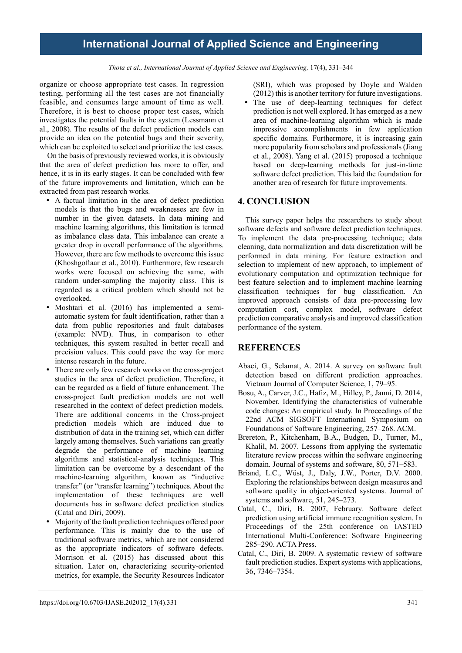*Thota et al., International Journal of Applied Science and Engineering,* 17(4), 331–344

organize or choose appropriate test cases. In regression testing, performing all the test cases are not financially feasible, and consumes large amount of time as well. Therefore, it is best to choose proper test cases, which investigates the potential faults in the system (Lessmann et al., 2008). The results of the defect prediction models can provide an idea on the potential bugs and their severity, which can be exploited to select and prioritize the test cases.

On the basis of previously reviewed works, it is obviously that the area of defect prediction has more to offer, and hence, it is in its early stages. It can be concluded with few of the future improvements and limitation, which can be extracted from past research works.

- A factual limitation in the area of defect prediction models is that the bugs and weaknesses are few in number in the given datasets. In data mining and machine learning algorithms, this limitation is termed as imbalance class data. This imbalance can create a greater drop in overall performance of the algorithms. However, there are few methods to overcome this issue (Khoshgoftaar et al., 2010). Furthermore, few research works were focused on achieving the same, with random under-sampling the majority class. This is regarded as a critical problem which should not be overlooked.
- Moshtari et al. (2016) has implemented a semiautomatic system for fault identification, rather than a data from public repositories and fault databases (example: NVD). Thus, in comparison to other techniques, this system resulted in better recall and precision values. This could pave the way for more intense research in the future.
- There are only few research works on the cross-project studies in the area of defect prediction. Therefore, it can be regarded as a field of future enhancement. The cross-project fault prediction models are not well researched in the context of defect prediction models. There are additional concerns in the Cross-project prediction models which are induced due to distribution of data in the training set, which can differ largely among themselves. Such variations can greatly degrade the performance of machine learning algorithms and statistical-analysis techniques. This limitation can be overcome by a descendant of the machine-learning algorithm, known as "inductive transfer" (or "transfer learning") techniques. About the implementation of these techniques are well documents has in software defect prediction studies (Catal and Diri, 2009).
- Majority of the fault prediction techniques offered poor performance. This is mainly due to the use of traditional software metrics, which are not considered as the appropriate indicators of software defects. Morrison et al. (2015) has discussed about this situation. Later on, characterizing security-oriented metrics, for example, the Security Resources Indicator

(SRI), which was proposed by Doyle and Walden (2012) this is another territory for future investigations.

 The use of deep-learning techniques for defect prediction is not well explored. It has emerged as a new area of machine-learning algorithm which is made impressive accomplishments in few application specific domains. Furthermore, it is increasing gain more popularity from scholars and professionals (Jiang et al., 2008). Yang et al. (2015) proposed a technique based on deep-learning methods for just-in-time software defect prediction. This laid the foundation for another area of research for future improvements.

### **4. CONCLUSION**

This survey paper helps the researchers to study about software defects and software defect prediction techniques. To implement the data pre-processing technique; data cleaning, data normalization and data discretization will be performed in data mining. For feature extraction and selection to implement of new approach, to implement of evolutionary computation and optimization technique for best feature selection and to implement machine learning classification techniques for bug classification. An improved approach consists of data pre-processing low computation cost, complex model, software defect prediction comparative analysis and improved classification performance of the system.

### **REFERENCES**

- Abaei, G., Selamat, A. 2014. A survey on software fault detection based on different prediction approaches. Vietnam Journal of Computer Science, 1, 79–95.
- Bosu, A., Carver, J.C., Hafiz, M., Hilley, P., Janni, D. 2014, November. Identifying the characteristics of vulnerable code changes: An empirical study. In Proceedings of the 22nd ACM SIGSOFT International Symposium on Foundations of Software Engineering, 257–268. ACM.
- Brereton, P., Kitchenham, B.A., Budgen, D., Turner, M., Khalil, M. 2007. Lessons from applying the systematic literature review process within the software engineering domain. Journal of systems and software, 80, 571–583.
- Briand, L.C., Wüst, J., Daly, J.W., Porter, D.V. 2000. Exploring the relationships between design measures and software quality in object-oriented systems. Journal of systems and software, 51, 245–273.
- Catal, C., Diri, B. 2007, February. Software defect prediction using artificial immune recognition system. In Proceedings of the 25th conference on IASTED International Multi-Conference: Software Engineering 285–290. ACTA Press.
- Catal, C., Diri, B. 2009. A systematic review of software fault prediction studies. Expert systems with applications, 36, 7346–7354.

https://doi.org/10.6703/IJASE.202012\_17(4).331 341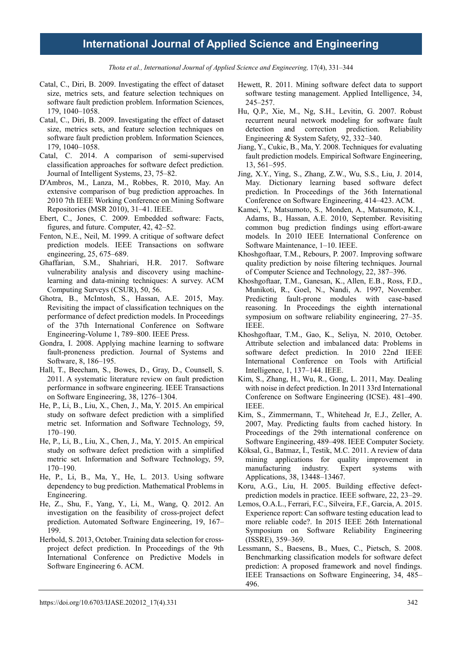*Thota et al., International Journal of Applied Science and Engineering,* 17(4), 331–344

- Catal, C., Diri, B. 2009. Investigating the effect of dataset size, metrics sets, and feature selection techniques on software fault prediction problem. Information Sciences, 179, 1040–1058.
- Catal, C., Diri, B. 2009. Investigating the effect of dataset size, metrics sets, and feature selection techniques on software fault prediction problem. Information Sciences, 179, 1040–1058.
- Catal, C. 2014. A comparison of semi-supervised classification approaches for software defect prediction. Journal of Intelligent Systems, 23, 75–82.
- D'Ambros, M., Lanza, M., Robbes, R. 2010, May. An extensive comparison of bug prediction approaches. In 2010 7th IEEE Working Conference on Mining Software Repositories (MSR 2010), 31–41. IEEE.
- Ebert, C., Jones, C. 2009. Embedded software: Facts, figures, and future. Computer, 42, 42–52.
- Fenton, N.E., Neil, M. 1999. A critique of software defect prediction models. IEEE Transactions on software engineering, 25, 675–689.
- Ghaffarian, S.M., Shahriari, H.R. 2017. Software vulnerability analysis and discovery using machinelearning and data-mining techniques: A survey. ACM Computing Surveys (CSUR), 50, 56.
- Ghotra, B., McIntosh, S., Hassan, A.E. 2015, May. Revisiting the impact of classification techniques on the performance of defect prediction models. In Proceedings of the 37th International Conference on Software Engineering-Volume 1, 789–800. IEEE Press.
- Gondra, I. 2008. Applying machine learning to software fault-proneness prediction. Journal of Systems and Software, 8, 186–195.
- Hall, T., Beecham, S., Bowes, D., Gray, D., Counsell, S. 2011. A systematic literature review on fault prediction performance in software engineering. IEEE Transactions on Software Engineering, 38, 1276–1304.
- He, P., Li, B., Liu, X., Chen, J., Ma, Y. 2015. An empirical study on software defect prediction with a simplified metric set. Information and Software Technology, 59, 170–190.
- He, P., Li, B., Liu, X., Chen, J., Ma, Y. 2015. An empirical study on software defect prediction with a simplified metric set. Information and Software Technology, 59, 170–190.
- He, P., Li, B., Ma, Y., He, L. 2013. Using software dependency to bug prediction. Mathematical Problems in Engineering.
- He, Z., Shu, F., Yang, Y., Li, M., Wang, Q. 2012. An investigation on the feasibility of cross-project defect prediction. Automated Software Engineering, 19, 167– 199.
- Herbold, S. 2013, October. Training data selection for crossproject defect prediction. In Proceedings of the 9th International Conference on Predictive Models in Software Engineering 6. ACM.
- Hewett, R. 2011. Mining software defect data to support software testing management. Applied Intelligence, 34, 245–257.
- Hu, Q.P., Xie, M., Ng, S.H., Levitin, G. 2007. Robust recurrent neural network modeling for software fault detection and correction prediction. Reliability Engineering & System Safety, 92, 332–340.
- Jiang, Y., Cukic, B., Ma, Y. 2008. Techniques for evaluating fault prediction models. Empirical Software Engineering, 13, 561–595.
- Jing, X.Y., Ying, S., Zhang, Z.W., Wu, S.S., Liu, J. 2014, May. Dictionary learning based software defect prediction. In Proceedings of the 36th International Conference on Software Engineering, 414–423. ACM.
- Kamei, Y., Matsumoto, S., Monden, A., Matsumoto, K.I., Adams, B., Hassan, A.E. 2010, September. Revisiting common bug prediction findings using effort-aware models. In 2010 IEEE International Conference on Software Maintenance, 1–10. IEEE.
- Khoshgoftaar, T.M., Rebours, P. 2007. Improving software quality prediction by noise filtering techniques. Journal of Computer Science and Technology, 22, 387–396.
- Khoshgoftaar, T.M., Ganesan, K., Allen, E.B., Ross, F.D., Munikoti, R., Goel, N., Nandi, A. 1997, November. Predicting fault-prone modules with case-based reasoning. In Proceedings the eighth international symposium on software reliability engineering, 27–35. IEEE.
- Khoshgoftaar, T.M., Gao, K., Seliya, N. 2010, October. Attribute selection and imbalanced data: Problems in software defect prediction. In 2010 22nd IEEE International Conference on Tools with Artificial Intelligence, 1, 137–144. IEEE.
- Kim, S., Zhang, H., Wu, R., Gong, L. 2011, May. Dealing with noise in defect prediction. In 2011 33rd International Conference on Software Engineering (ICSE). 481–490. IEEE.
- Kim, S., Zimmermann, T., Whitehead Jr, E.J., Zeller, A. 2007, May. Predicting faults from cached history. In Proceedings of the 29th international conference on Software Engineering, 489–498. IEEE Computer Society.
- Köksal, G., Batmaz, İ., Testik, M.C. 2011. A review of data mining applications for quality improvement in manufacturing industry. Expert systems with Applications, 38, 13448–13467.
- Koru, A.G., Liu, H. 2005. Building effective defectprediction models in practice. IEEE software, 22, 23–29.
- Lemos, O.A.L., Ferrari, F.C., Silveira, F.F., Garcia, A. 2015. Experience report: Can software testing education lead to more reliable code?. In 2015 IEEE 26th International Symposium on Software Reliability Engineering (ISSRE), 359–369.
- Lessmann, S., Baesens, B., Mues, C., Pietsch, S. 2008. Benchmarking classification models for software defect prediction: A proposed framework and novel findings. IEEE Transactions on Software Engineering, 34, 485– 496.

https://doi.org/10.6703/IJASE.202012\_17(4).331 342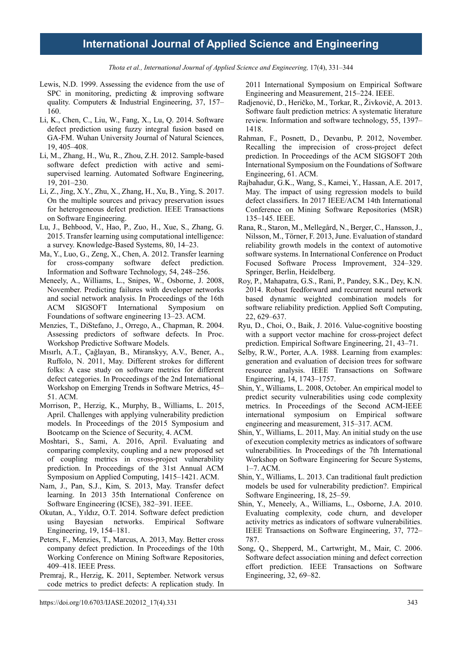*Thota et al., International Journal of Applied Science and Engineering,* 17(4), 331–344

- Lewis, N.D. 1999. Assessing the evidence from the use of SPC in monitoring, predicting & improving software quality. Computers & Industrial Engineering, 37, 157– 160.
- Li, K., Chen, C., Liu, W., Fang, X., Lu, Q. 2014. Software defect prediction using fuzzy integral fusion based on GA-FM. Wuhan University Journal of Natural Sciences, 19, 405–408.
- Li, M., Zhang, H., Wu, R., Zhou, Z.H. 2012. Sample-based software defect prediction with active and semisupervised learning. Automated Software Engineering, 19, 201–230.
- Li, Z., Jing, X.Y., Zhu, X., Zhang, H., Xu, B., Ying, S. 2017. On the multiple sources and privacy preservation issues for heterogeneous defect prediction. IEEE Transactions on Software Engineering.
- Lu, J., Behbood, V., Hao, P., Zuo, H., Xue, S., Zhang, G. 2015. Transfer learning using computational intelligence: a survey. Knowledge-Based Systems, 80, 14–23.
- Ma, Y., Luo, G., Zeng, X., Chen, A. 2012. Transfer learning for cross-company software defect prediction. Information and Software Technology, 54, 248–256.
- Meneely, A., Williams, L., Snipes, W., Osborne, J. 2008, November. Predicting failures with developer networks and social network analysis. In Proceedings of the 16th<br>ACM SIGSOFT International Symposium on ACM SIGSOFT International Symposium on Foundations of software engineering 13–23. ACM.
- Menzies, T., DiStefano, J., Orrego, A., Chapman, R. 2004. Assessing predictors of software defects. In Proc. Workshop Predictive Software Models.
- Mısırlı, A.T., Çağlayan, B., Miranskyy, A.V., Bener, A., Ruffolo, N. 2011, May. Different strokes for different folks: A case study on software metrics for different defect categories. In Proceedings of the 2nd International Workshop on Emerging Trends in Software Metrics, 45– 51. ACM.
- Morrison, P., Herzig, K., Murphy, B., Williams, L. 2015, April. Challenges with applying vulnerability prediction models. In Proceedings of the 2015 Symposium and Bootcamp on the Science of Security, 4. ACM.
- Moshtari, S., Sami, A. 2016, April. Evaluating and comparing complexity, coupling and a new proposed set of coupling metrics in cross-project vulnerability prediction. In Proceedings of the 31st Annual ACM Symposium on Applied Computing, 1415–1421. ACM.
- Nam, J., Pan, S.J., Kim, S. 2013, May. Transfer defect learning. In 2013 35th International Conference on Software Engineering (ICSE), 382–391. IEEE.
- Okutan, A., Yıldız, O.T. 2014. Software defect prediction using Bayesian networks. Empirical Software Engineering, 19, 154–181.
- Peters, F., Menzies, T., Marcus, A. 2013, May. Better cross company defect prediction. In Proceedings of the 10th Working Conference on Mining Software Repositories, 409–418. IEEE Press.
- Premraj, R., Herzig, K. 2011, September. Network versus code metrics to predict defects: A replication study. In

2011 International Symposium on Empirical Software Engineering and Measurement, 215–224. IEEE.

- Radjenović, D., Heričko, M., Torkar, R., Živkovič, A. 2013. Software fault prediction metrics: A systematic literature review. Information and software technology, 55, 1397– 1418.
- Rahman, F., Posnett, D., Devanbu, P. 2012, November. Recalling the imprecision of cross-project defect prediction. In Proceedings of the ACM SIGSOFT 20th International Symposium on the Foundations of Software Engineering, 61. ACM.
- Rajbahadur, G.K., Wang, S., Kamei, Y., Hassan, A.E. 2017, May. The impact of using regression models to build defect classifiers. In 2017 IEEE/ACM 14th International Conference on Mining Software Repositories (MSR) 135–145. IEEE.
- Rana, R., Staron, M., Mellegård, N., Berger, C., Hansson, J., Nilsson, M., Törner, F. 2013, June. Evaluation of standard reliability growth models in the context of automotive software systems. In International Conference on Product Focused Software Process Improvement, 324–329. Springer, Berlin, Heidelberg.
- Roy, P., Mahapatra, G.S., Rani, P., Pandey, S.K., Dey, K.N. 2014. Robust feedforward and recurrent neural network based dynamic weighted combination models for software reliability prediction. Applied Soft Computing, 22, 629–637.
- Ryu, D., Choi, O., Baik, J. 2016. Value-cognitive boosting with a support vector machine for cross-project defect prediction. Empirical Software Engineering, 21, 43–71.
- Selby, R.W., Porter, A.A. 1988. Learning from examples: generation and evaluation of decision trees for software resource analysis. IEEE Transactions on Software Engineering, 14, 1743–1757.
- Shin, Y., Williams, L. 2008, October. An empirical model to predict security vulnerabilities using code complexity metrics. In Proceedings of the Second ACM-IEEE international symposium on Empirical software engineering and measurement, 315–317. ACM.
- Shin, Y., Williams, L. 2011, May. An initial study on the use of execution complexity metrics as indicators of software vulnerabilities. In Proceedings of the 7th International Workshop on Software Engineering for Secure Systems, 1–7. ACM.
- Shin, Y., Williams, L. 2013. Can traditional fault prediction models be used for vulnerability prediction?. Empirical Software Engineering, 18, 25–59.
- Shin, Y., Meneely, A., Williams, L., Osborne, J.A. 2010. Evaluating complexity, code churn, and developer activity metrics as indicators of software vulnerabilities. IEEE Transactions on Software Engineering, 37, 772– 787.
- Song, Q., Shepperd, M., Cartwright, M., Mair, C. 2006. Software defect association mining and defect correction effort prediction. IEEE Transactions on Software Engineering, 32, 69–82.

https://doi.org/10.6703/IJASE.202012\_17(4).331 343